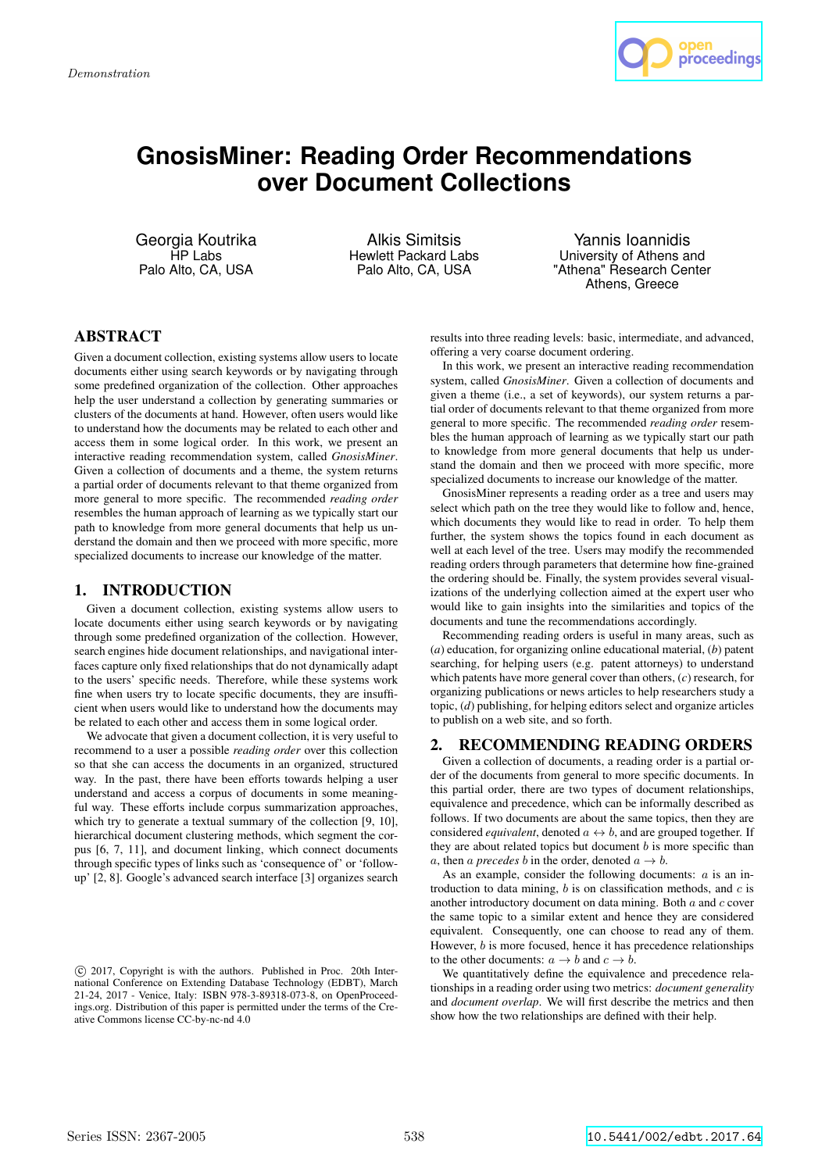

# **GnosisMiner: Reading Order Recommendations over Document Collections**

Georgia Koutrika HP Labs Palo Alto, CA, USA

Alkis Simitsis Hewlett Packard Labs Palo Alto, CA, USA

Yannis Ioannidis University of Athens and "Athena" Research Center Athens, Greece

## ABSTRACT

Given a document collection, existing systems allow users to locate documents either using search keywords or by navigating through some predefined organization of the collection. Other approaches help the user understand a collection by generating summaries or clusters of the documents at hand. However, often users would like to understand how the documents may be related to each other and access them in some logical order. In this work, we present an interactive reading recommendation system, called *GnosisMiner*. Given a collection of documents and a theme, the system returns a partial order of documents relevant to that theme organized from more general to more specific. The recommended *reading order* resembles the human approach of learning as we typically start our path to knowledge from more general documents that help us understand the domain and then we proceed with more specific, more specialized documents to increase our knowledge of the matter.

## 1. INTRODUCTION

Given a document collection, existing systems allow users to locate documents either using search keywords or by navigating through some predefined organization of the collection. However, search engines hide document relationships, and navigational interfaces capture only fixed relationships that do not dynamically adapt to the users' specific needs. Therefore, while these systems work fine when users try to locate specific documents, they are insufficient when users would like to understand how the documents may be related to each other and access them in some logical order.

We advocate that given a document collection, it is very useful to recommend to a user a possible *reading order* over this collection so that she can access the documents in an organized, structured way. In the past, there have been efforts towards helping a user understand and access a corpus of documents in some meaningful way. These efforts include corpus summarization approaches, which try to generate a textual summary of the collection [9, 10], hierarchical document clustering methods, which segment the corpus [6, 7, 11], and document linking, which connect documents through specific types of links such as 'consequence of' or 'followup' [2, 8]. Google's advanced search interface [3] organizes search results into three reading levels: basic, intermediate, and advanced, offering a very coarse document ordering.

In this work, we present an interactive reading recommendation system, called *GnosisMiner*. Given a collection of documents and given a theme (i.e., a set of keywords), our system returns a partial order of documents relevant to that theme organized from more general to more specific. The recommended *reading order* resembles the human approach of learning as we typically start our path to knowledge from more general documents that help us understand the domain and then we proceed with more specific, more specialized documents to increase our knowledge of the matter.

GnosisMiner represents a reading order as a tree and users may select which path on the tree they would like to follow and, hence, which documents they would like to read in order. To help them further, the system shows the topics found in each document as well at each level of the tree. Users may modify the recommended reading orders through parameters that determine how fine-grained the ordering should be. Finally, the system provides several visualizations of the underlying collection aimed at the expert user who would like to gain insights into the similarities and topics of the documents and tune the recommendations accordingly.

Recommending reading orders is useful in many areas, such as (*a*) education, for organizing online educational material, (*b*) patent searching, for helping users (e.g. patent attorneys) to understand which patents have more general cover than others, (*c*) research, for organizing publications or news articles to help researchers study a topic, (*d*) publishing, for helping editors select and organize articles to publish on a web site, and so forth.

## 2. RECOMMENDING READING ORDERS

Given a collection of documents, a reading order is a partial order of the documents from general to more specific documents. In this partial order, there are two types of document relationships, equivalence and precedence, which can be informally described as follows. If two documents are about the same topics, then they are considered *equivalent*, denoted  $a \leftrightarrow b$ , and are grouped together. If they are about related topics but document  $b$  is more specific than a, then a *precedes* b in the order, denoted  $a \rightarrow b$ .

As an example, consider the following documents:  $a$  is an introduction to data mining,  $b$  is on classification methods, and  $c$  is another introductory document on data mining. Both a and c cover the same topic to a similar extent and hence they are considered equivalent. Consequently, one can choose to read any of them. However,  $b$  is more focused, hence it has precedence relationships to the other documents:  $a \rightarrow b$  and  $c \rightarrow b$ .

We quantitatively define the equivalence and precedence relationships in a reading order using two metrics: *document generality* and *document overlap*. We will first describe the metrics and then show how the two relationships are defined with their help.

c 2017, Copyright is with the authors. Published in Proc. 20th International Conference on Extending Database Technology (EDBT), March 21-24, 2017 - Venice, Italy: ISBN 978-3-89318-073-8, on OpenProceedings.org. Distribution of this paper is permitted under the terms of the Creative Commons license CC-by-nc-nd 4.0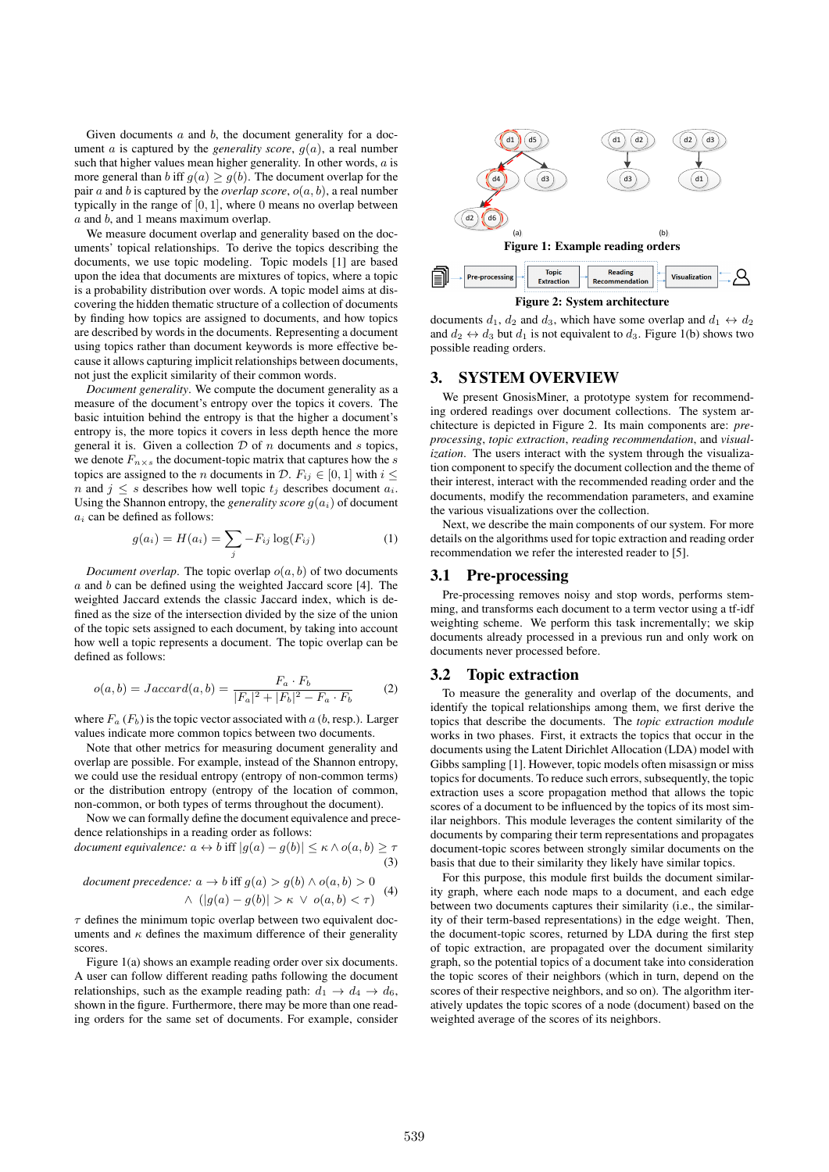Given documents a and b, the document generality for a document *a* is captured by the *generality score*,  $g(a)$ , a real number such that higher values mean higher generality. In other words,  $a$  is more general than b iff  $g(a) \ge g(b)$ . The document overlap for the pair  $a$  and  $b$  is captured by the *overlap score*,  $o(a, b)$ , a real number typically in the range of  $[0, 1]$ , where 0 means no overlap between  $a$  and  $b$ , and 1 means maximum overlap.

We measure document overlap and generality based on the documents' topical relationships. To derive the topics describing the documents, we use topic modeling. Topic models [1] are based upon the idea that documents are mixtures of topics, where a topic is a probability distribution over words. A topic model aims at discovering the hidden thematic structure of a collection of documents by finding how topics are assigned to documents, and how topics are described by words in the documents. Representing a document using topics rather than document keywords is more effective because it allows capturing implicit relationships between documents, not just the explicit similarity of their common words.

*Document generality*. We compute the document generality as a measure of the document's entropy over the topics it covers. The basic intuition behind the entropy is that the higher a document's entropy is, the more topics it covers in less depth hence the more general it is. Given a collection  $D$  of  $n$  documents and  $s$  topics, we denote  $F_{n\times s}$  the document-topic matrix that captures how the s topics are assigned to the *n* documents in  $\mathcal{D}$ .  $F_{ij} \in [0, 1]$  with  $i \leq$ n and  $j \leq s$  describes how well topic  $t_j$  describes document  $a_i$ . Using the Shannon entropy, the *generality score*  $q(a_i)$  of document  $a_i$  can be defined as follows:

$$
g(a_i) = H(a_i) = \sum_j -F_{ij} \log(F_{ij})
$$
 (1)

*Document overlap*. The topic overlap  $o(a, b)$  of two documents  $a$  and  $b$  can be defined using the weighted Jaccard score [4]. The weighted Jaccard extends the classic Jaccard index, which is defined as the size of the intersection divided by the size of the union of the topic sets assigned to each document, by taking into account how well a topic represents a document. The topic overlap can be defined as follows:

$$
o(a,b) = Jaccard(a,b) = \frac{F_a \cdot F_b}{|F_a|^2 + |F_b|^2 - F_a \cdot F_b}
$$
 (2)

where  $F_a$  ( $F_b$ ) is the topic vector associated with a (b, resp.). Larger values indicate more common topics between two documents.

Note that other metrics for measuring document generality and overlap are possible. For example, instead of the Shannon entropy, we could use the residual entropy (entropy of non-common terms) or the distribution entropy (entropy of the location of common, non-common, or both types of terms throughout the document).

Now we can formally define the document equivalence and precedence relationships in a reading order as follows:

*document equivalence:*  $a \leftrightarrow b$  iff  $|g(a) - g(b)| \leq \kappa \wedge o(a, b) \geq \tau$ (3)

document precedence: 
$$
a \rightarrow b
$$
 iff  $g(a) > g(b) \land o(a, b) > 0$   
 $\land (|g(a) - g(b)| > \kappa \lor o(a, b) < \tau)$  (4)

 $\tau$  defines the minimum topic overlap between two equivalent documents and  $\kappa$  defines the maximum difference of their generality scores.

Figure 1(a) shows an example reading order over six documents. A user can follow different reading paths following the document relationships, such as the example reading path:  $d_1 \rightarrow d_4 \rightarrow d_6$ , shown in the figure. Furthermore, there may be more than one reading orders for the same set of documents. For example, consider





documents  $d_1$ ,  $d_2$  and  $d_3$ , which have some overlap and  $d_1 \leftrightarrow d_2$ and  $d_2 \leftrightarrow d_3$  but  $d_1$  is not equivalent to  $d_3$ . Figure 1(b) shows two possible reading orders.

### 3. SYSTEM OVERVIEW

We present GnosisMiner, a prototype system for recommending ordered readings over document collections. The system architecture is depicted in Figure 2. Its main components are: *preprocessing*, *topic extraction*, *reading recommendation*, and *visualization*. The users interact with the system through the visualization component to specify the document collection and the theme of their interest, interact with the recommended reading order and the documents, modify the recommendation parameters, and examine the various visualizations over the collection.

Next, we describe the main components of our system. For more details on the algorithms used for topic extraction and reading order recommendation we refer the interested reader to [5].

#### 3.1 Pre-processing

Pre-processing removes noisy and stop words, performs stemming, and transforms each document to a term vector using a tf-idf weighting scheme. We perform this task incrementally; we skip documents already processed in a previous run and only work on documents never processed before.

#### 3.2 Topic extraction

To measure the generality and overlap of the documents, and identify the topical relationships among them, we first derive the topics that describe the documents. The *topic extraction module* works in two phases. First, it extracts the topics that occur in the documents using the Latent Dirichlet Allocation (LDA) model with Gibbs sampling [1]. However, topic models often misassign or miss topics for documents. To reduce such errors, subsequently, the topic extraction uses a score propagation method that allows the topic scores of a document to be influenced by the topics of its most similar neighbors. This module leverages the content similarity of the documents by comparing their term representations and propagates document-topic scores between strongly similar documents on the basis that due to their similarity they likely have similar topics.

For this purpose, this module first builds the document similarity graph, where each node maps to a document, and each edge between two documents captures their similarity (i.e., the similarity of their term-based representations) in the edge weight. Then, the document-topic scores, returned by LDA during the first step of topic extraction, are propagated over the document similarity graph, so the potential topics of a document take into consideration the topic scores of their neighbors (which in turn, depend on the scores of their respective neighbors, and so on). The algorithm iteratively updates the topic scores of a node (document) based on the weighted average of the scores of its neighbors.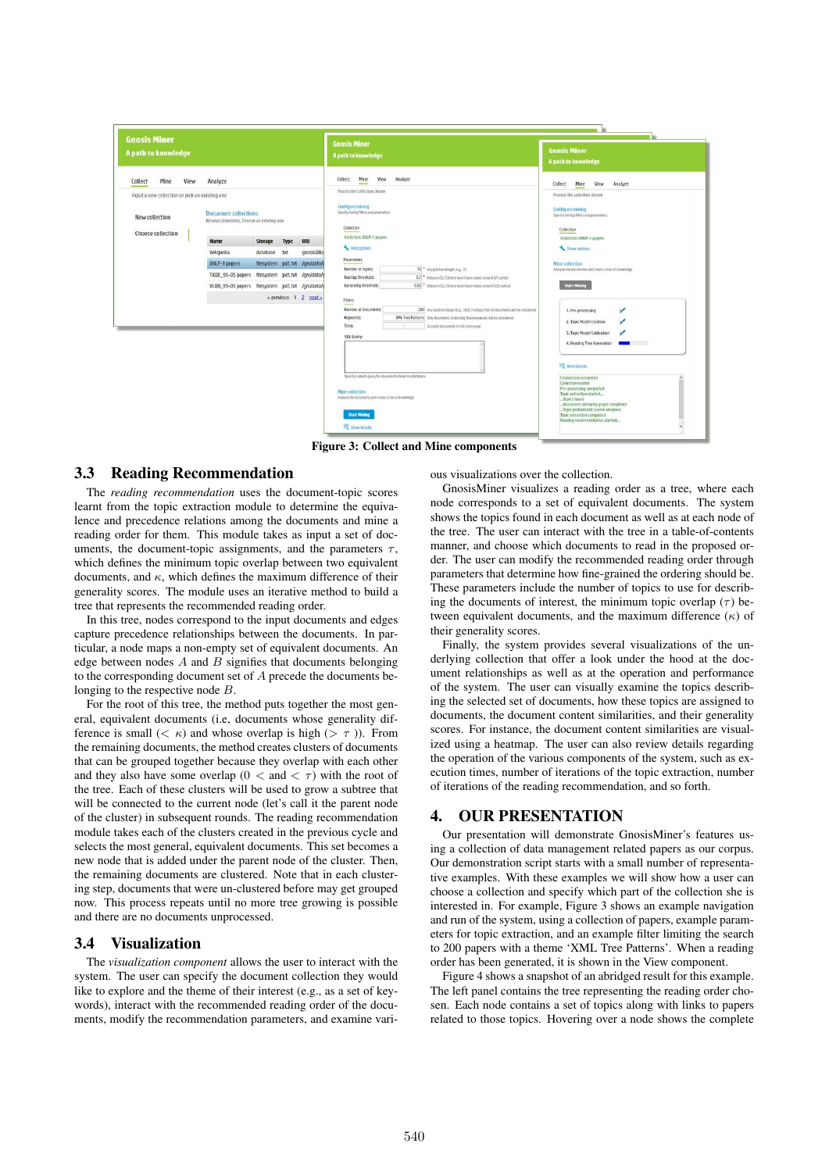| <b>Gnosis Miner</b><br>A path to knowledge                                                                              |                                               |                                                                                                                                                                                                             |                                                              |                  | <b>Gnosis Miner</b><br>A path to knowledge                                                                                                                                                                                                                                                                                                                                                                                                                                                                                                                                                                                                                                                                                                                 | <b>Gnosis Miner</b><br>A path to knowledge                                                                                                                                                                                                                                                                                                                              |
|-------------------------------------------------------------------------------------------------------------------------|-----------------------------------------------|-------------------------------------------------------------------------------------------------------------------------------------------------------------------------------------------------------------|--------------------------------------------------------------|------------------|------------------------------------------------------------------------------------------------------------------------------------------------------------------------------------------------------------------------------------------------------------------------------------------------------------------------------------------------------------------------------------------------------------------------------------------------------------------------------------------------------------------------------------------------------------------------------------------------------------------------------------------------------------------------------------------------------------------------------------------------------------|-------------------------------------------------------------------------------------------------------------------------------------------------------------------------------------------------------------------------------------------------------------------------------------------------------------------------------------------------------------------------|
| Mine<br>View<br>Collect<br>Input a new collection or pick an existing one<br>New collection<br><b>Choose collection</b> | Analyze<br>Name<br>Wikipedia<br>DBLP-1 papers | <b>Document collections</b><br>Browse collections, Choose an existing one<br>Storage<br>database txt<br>TKDE_95-05 papers filesystem pdf, txt /gm/data/<br>VLDB 95-05 papers filesystem pdf, txt /qm/data/j | Type<br>filesystem pdf, txt /gm/data/<br>«previous 1 2 next» | URI<br>gnosisDB; | Mine<br>View<br>Collect<br>Analyze<br>Process the collection chosen<br>Configure mining<br>Specify mining fitters and parameters<br>Collection<br>Collection: DBLP-1 papers<br>Hide cotions<br>Parameters<br>Number of topics:<br>10 <sup>*</sup> Any positive integer; e.g., 10<br>Overlap threshold:<br>0.7 * Values in [0,1] (lisers have found values around 0.7 useful)<br>Generality threshold:<br>0.05 * Values in [0,1] (Users have found values around 0.05 useful)<br>Fitters<br>Number of documents:<br>200 Any positive integer (e.g., 100); if emtpy, then all documents will be considered<br>Keywords:<br>XML Tree Patterns   Only documents containing these keywords will be considered<br>Time:<br>Consider documents in this time range | Analyze<br>Collect<br>Mine<br>View<br>Process the collection chosen.<br><b>Configure mining</b><br>Specify mining filters and parameters<br>Collection<br>Collection: DBLP-1 papers<br>Show options<br>Mine collection<br>Analyze the documents and create a tree of knowledge<br><b>Start Mining</b><br>1. Pre-processing<br>2. Topic Model Creation                   |
|                                                                                                                         |                                               |                                                                                                                                                                                                             |                                                              |                  | SQL Query:<br>Specify a search query for documents stored in a database<br>Mine collection<br>Analyze the documents and create a tree of knowledge<br><b>Start Mining</b><br>Show details                                                                                                                                                                                                                                                                                                                                                                                                                                                                                                                                                                  | 3. Topic Model Calibration<br>4. Reading Tree Generation<br>$\sim$<br><b>ESS</b> Hide Details<br>Connection succeeded<br><b>Collection loaded</b><br>Pre-processing completed<br>Topic extraction started<br>Topics found<br>Document similarity graph completed<br>Topic probabilistic scores assigned<br>Topic extraction completed<br>Reading recommendation started |

Figure 3: Collect and Mine components

## 3.3 Reading Recommendation

The *reading recommendation* uses the document-topic scores learnt from the topic extraction module to determine the equivalence and precedence relations among the documents and mine a reading order for them. This module takes as input a set of documents, the document-topic assignments, and the parameters  $\tau$ , which defines the minimum topic overlap between two equivalent documents, and  $\kappa$ , which defines the maximum difference of their generality scores. The module uses an iterative method to build a tree that represents the recommended reading order.

In this tree, nodes correspond to the input documents and edges capture precedence relationships between the documents. In particular, a node maps a non-empty set of equivalent documents. An edge between nodes  $A$  and  $B$  signifies that documents belonging to the corresponding document set of A precede the documents belonging to the respective node B.

For the root of this tree, the method puts together the most general, equivalent documents (i.e, documents whose generality difference is small  $( $\kappa$ )$  and whose overlap is high  $(>\tau)$ ). From the remaining documents, the method creates clusters of documents that can be grouped together because they overlap with each other and they also have some overlap ( $0 <$  and  $< \tau$ ) with the root of the tree. Each of these clusters will be used to grow a subtree that will be connected to the current node (let's call it the parent node of the cluster) in subsequent rounds. The reading recommendation module takes each of the clusters created in the previous cycle and selects the most general, equivalent documents. This set becomes a new node that is added under the parent node of the cluster. Then, the remaining documents are clustered. Note that in each clustering step, documents that were un-clustered before may get grouped now. This process repeats until no more tree growing is possible and there are no documents unprocessed.

## 3.4 Visualization

The *visualization component* allows the user to interact with the system. The user can specify the document collection they would like to explore and the theme of their interest (e.g., as a set of keywords), interact with the recommended reading order of the documents, modify the recommendation parameters, and examine various visualizations over the collection.

GnosisMiner visualizes a reading order as a tree, where each node corresponds to a set of equivalent documents. The system shows the topics found in each document as well as at each node of the tree. The user can interact with the tree in a table-of-contents manner, and choose which documents to read in the proposed order. The user can modify the recommended reading order through parameters that determine how fine-grained the ordering should be. These parameters include the number of topics to use for describing the documents of interest, the minimum topic overlap ( $\tau$ ) between equivalent documents, and the maximum difference  $(\kappa)$  of their generality scores.

Finally, the system provides several visualizations of the underlying collection that offer a look under the hood at the document relationships as well as at the operation and performance of the system. The user can visually examine the topics describing the selected set of documents, how these topics are assigned to documents, the document content similarities, and their generality scores. For instance, the document content similarities are visualized using a heatmap. The user can also review details regarding the operation of the various components of the system, such as execution times, number of iterations of the topic extraction, number of iterations of the reading recommendation, and so forth.

## 4. OUR PRESENTATION

Our presentation will demonstrate GnosisMiner's features using a collection of data management related papers as our corpus. Our demonstration script starts with a small number of representative examples. With these examples we will show how a user can choose a collection and specify which part of the collection she is interested in. For example, Figure 3 shows an example navigation and run of the system, using a collection of papers, example parameters for topic extraction, and an example filter limiting the search to 200 papers with a theme 'XML Tree Patterns'. When a reading order has been generated, it is shown in the View component.

Figure 4 shows a snapshot of an abridged result for this example. The left panel contains the tree representing the reading order chosen. Each node contains a set of topics along with links to papers related to those topics. Hovering over a node shows the complete